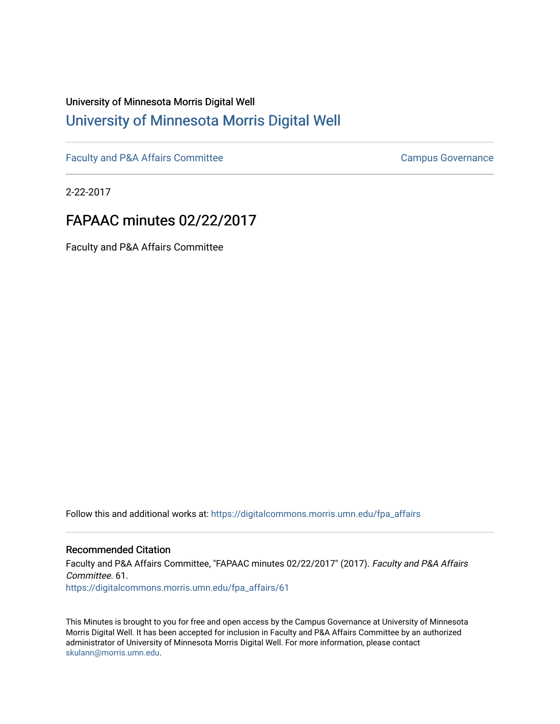## University of Minnesota Morris Digital Well [University of Minnesota Morris Digital Well](https://digitalcommons.morris.umn.edu/)

[Faculty and P&A Affairs Committee](https://digitalcommons.morris.umn.edu/fpa_affairs) [Campus Governance](https://digitalcommons.morris.umn.edu/campgov) Campus Governance

2-22-2017

# FAPAAC minutes 02/22/2017

Faculty and P&A Affairs Committee

Follow this and additional works at: [https://digitalcommons.morris.umn.edu/fpa\\_affairs](https://digitalcommons.morris.umn.edu/fpa_affairs?utm_source=digitalcommons.morris.umn.edu%2Ffpa_affairs%2F61&utm_medium=PDF&utm_campaign=PDFCoverPages)

#### Recommended Citation

Faculty and P&A Affairs Committee, "FAPAAC minutes 02/22/2017" (2017). Faculty and P&A Affairs Committee. 61. [https://digitalcommons.morris.umn.edu/fpa\\_affairs/61](https://digitalcommons.morris.umn.edu/fpa_affairs/61?utm_source=digitalcommons.morris.umn.edu%2Ffpa_affairs%2F61&utm_medium=PDF&utm_campaign=PDFCoverPages) 

This Minutes is brought to you for free and open access by the Campus Governance at University of Minnesota Morris Digital Well. It has been accepted for inclusion in Faculty and P&A Affairs Committee by an authorized administrator of University of Minnesota Morris Digital Well. For more information, please contact [skulann@morris.umn.edu.](mailto:skulann@morris.umn.edu)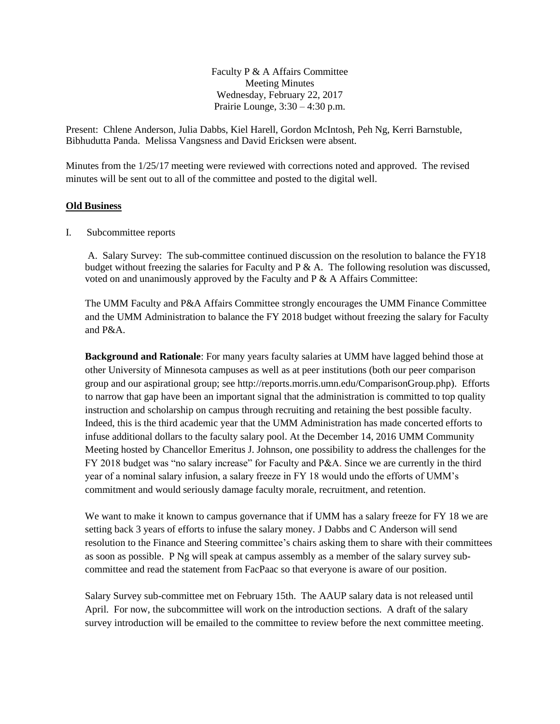Faculty P & A Affairs Committee Meeting Minutes Wednesday, February 22, 2017 Prairie Lounge, 3:30 – 4:30 p.m.

Present: Chlene Anderson, Julia Dabbs, Kiel Harell, Gordon McIntosh, Peh Ng, Kerri Barnstuble, Bibhudutta Panda. Melissa Vangsness and David Ericksen were absent.

Minutes from the 1/25/17 meeting were reviewed with corrections noted and approved. The revised minutes will be sent out to all of the committee and posted to the digital well.

#### **Old Business**

I. Subcommittee reports

A. Salary Survey: The sub-committee continued discussion on the resolution to balance the FY18 budget without freezing the salaries for Faculty and  $P \& A$ . The following resolution was discussed, voted on and unanimously approved by the Faculty and P & A Affairs Committee:

The UMM Faculty and P&A Affairs Committee strongly encourages the UMM Finance Committee and the UMM Administration to balance the FY 2018 budget without freezing the salary for Faculty and P&A.

**Background and Rationale**: For many years faculty salaries at UMM have lagged behind those at other University of Minnesota campuses as well as at peer institutions (both our peer comparison group and our aspirational group; see http://reports.morris.umn.edu/ComparisonGroup.php). Efforts to narrow that gap have been an important signal that the administration is committed to top quality instruction and scholarship on campus through recruiting and retaining the best possible faculty. Indeed, this is the third academic year that the UMM Administration has made concerted efforts to infuse additional dollars to the faculty salary pool. At the December 14, 2016 UMM Community Meeting hosted by Chancellor Emeritus J. Johnson, one possibility to address the challenges for the FY 2018 budget was "no salary increase" for Faculty and P&A. Since we are currently in the third year of a nominal salary infusion, a salary freeze in FY 18 would undo the efforts of UMM's commitment and would seriously damage faculty morale, recruitment, and retention.

We want to make it known to campus governance that if UMM has a salary freeze for FY 18 we are setting back 3 years of efforts to infuse the salary money. J Dabbs and C Anderson will send resolution to the Finance and Steering committee's chairs asking them to share with their committees as soon as possible. P Ng will speak at campus assembly as a member of the salary survey subcommittee and read the statement from FacPaac so that everyone is aware of our position.

Salary Survey sub-committee met on February 15th. The AAUP salary data is not released until April. For now, the subcommittee will work on the introduction sections. A draft of the salary survey introduction will be emailed to the committee to review before the next committee meeting.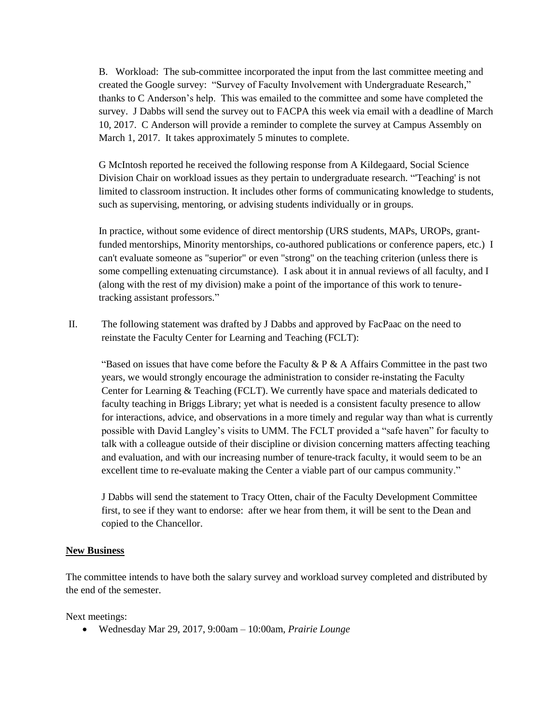B. Workload: The sub-committee incorporated the input from the last committee meeting and created the Google survey: "Survey of Faculty Involvement with Undergraduate Research," thanks to C Anderson's help. This was emailed to the committee and some have completed the survey. J Dabbs will send the survey out to FACPA this week via email with a deadline of March 10, 2017. C Anderson will provide a reminder to complete the survey at Campus Assembly on March 1, 2017. It takes approximately 5 minutes to complete.

G McIntosh reported he received the following response from A Kildegaard, Social Science Division Chair on workload issues as they pertain to undergraduate research. "'Teaching' is not limited to classroom instruction. It includes other forms of communicating knowledge to students, such as supervising, mentoring, or advising students individually or in groups.

In practice, without some evidence of direct mentorship (URS students, MAPs, UROPs, grantfunded mentorships, Minority mentorships, co-authored publications or conference papers, etc.) I can't evaluate someone as "superior" or even "strong" on the teaching criterion (unless there is some compelling extenuating circumstance). I ask about it in annual reviews of all faculty, and I (along with the rest of my division) make a point of the importance of this work to tenuretracking assistant professors."

II. The following statement was drafted by J Dabbs and approved by FacPaac on the need to reinstate the Faculty Center for Learning and Teaching (FCLT):

"Based on issues that have come before the Faculty & P & A Affairs Committee in the past two years, we would strongly encourage the administration to consider re-instating the Faculty Center for Learning & Teaching (FCLT). We currently have space and materials dedicated to faculty teaching in Briggs Library; yet what is needed is a consistent faculty presence to allow for interactions, advice, and observations in a more timely and regular way than what is currently possible with David Langley's visits to UMM. The FCLT provided a "safe haven" for faculty to talk with a colleague outside of their discipline or division concerning matters affecting teaching and evaluation, and with our increasing number of tenure-track faculty, it would seem to be an excellent time to re-evaluate making the Center a viable part of our campus community."

J Dabbs will send the statement to Tracy Otten, chair of the Faculty Development Committee first, to see if they want to endorse: after we hear from them, it will be sent to the Dean and copied to the Chancellor.

### **New Business**

The committee intends to have both the salary survey and workload survey completed and distributed by the end of the semester.

Next meetings:

Wednesday Mar 29, 2017, 9:00am – 10:00am, *Prairie Lounge*